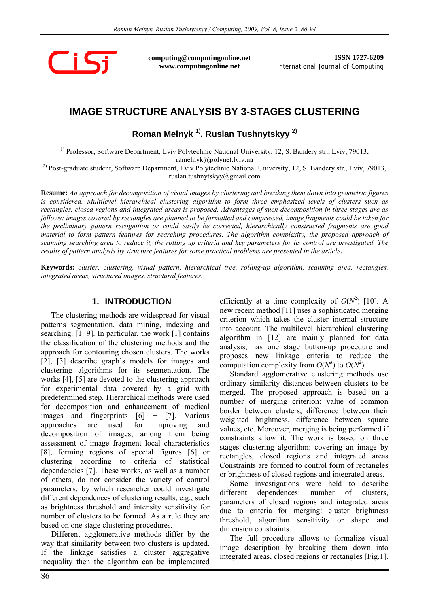

**computing@computingonline.net www.computingonline.net**

**ISSN 1727-6209** International Journal of Computing

# **IMAGE STRUCTURE ANALYSIS BY 3-STAGES CLUSTERING**

**Roman Melnyk 1), Ruslan Tushnytskyy 2)** 

<sup>1)</sup> Professor, Software Department, Lviv Polytechnic National University, 12, S. Bandery str., Lviv, 79013, ramelnyk@polynet.lviv.ua

<sup>2)</sup> Post-graduate student, Software Department, Lviv Polytechnic National University, 12, S. Bandery str., Lviv, 79013, ruslan.tushnytskyy@gmail.com

**Resume:** *An approach for decomposition of visual images by clustering and breaking them down into geometric figures is considered. Multilevel hierarchical clustering algorithm to form three emphasized levels of clusters such as rectangles, closed regions and integrated areas is proposed. Advantages of such decomposition in three stages are as follows: images covered by rectangles are planned to be formatted and compressed, image fragments could be taken for the preliminary pattern recognition or could easily be corrected, hierarchically constructed fragments are good material to form pattern features for searching procedures. The algorithm complexity, the proposed approach of scanning searching area to reduce it, the rolling up criteria and key parameters for its control are investigated. The results of pattern analysis by structure features for some practical problems are presented in the article***.**

**Keywords:** *cluster, clustering, visual pattern, hierarchical tree, rolling-up algorithm, scanning area, rectangles, integrated areas, structured images, structural features.* 

# **1. INTRODUCTION**

The clustering methods are widespread for visual patterns segmentation, data mining, indexing and searching. [1−9]. In particular, the work [1] contains the classification of the clustering methods and the approach for contouring chosen clusters. The works [2], [3] describe graph's models for images and clustering algorithms for its segmentation. The works [4], [5] are devoted to the clustering approach for experimental data covered by a grid with predetermined step. Hierarchical methods were used for decomposition and enhancement of medical images and fingerprints [6] − [7]. Various approaches are used for improving and decomposition of images, among them being assessment of image fragment local characteristics [8], forming regions of special figures [6] or clustering according to criteria of statistical dependencies [7]. These works, as well as a number of others, do not consider the variety of control parameters, by which researcher could investigate different dependences of clustering results, e.g., such as brightness threshold and intensity sensitivity for number of clusters to be formed. As a rule they are based on one stage clustering procedures.

Different agglomerative methods differ by the way that similarity between two clusters is updated. If the linkage satisfies a cluster aggregative inequality then the algorithm can be implemented

efficiently at a time complexity of  $O(N^2)$  [10]. A new recent method [11] uses a sophisticated merging criterion which takes the cluster internal structure into account. The multilevel hierarchical clustering algorithm in [12] are mainly planned for data analysis, has one stage button-up procedure and proposes new linkage criteria to reduce the computation complexity from  $O(N^3)$  to  $O(N^2)$ .

Standard agglomerative clustering methods use ordinary similarity distances between clusters to be merged. The proposed approach is based on a number of merging criterion: value of common border between clusters, difference between their weighted brightness, difference between square values, etc. Moreover, merging is being performed if constraints allow it. The work is based on three stages clustering algorithm: covering an image by rectangles, closed regions and integrated areas Constraints are formed to control form of rectangles or brightness of closed regions and integrated areas.

Some investigations were held to describe different dependences: number of clusters, parameters of closed regions and integrated areas due to criteria for merging: cluster brightness threshold, algorithm sensitivity or shape and dimension constraints.

The full procedure allows to formalize visual image description by breaking them down into integrated areas, closed regions or rectangles [Fig.1].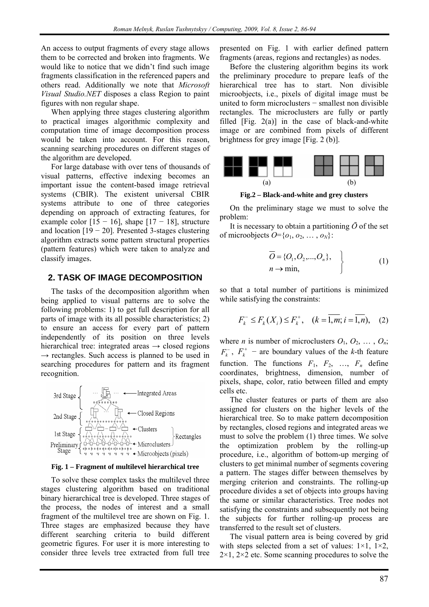An access to output fragments of every stage allows them to be corrected and broken into fragments. We would like to notice that we didn't find such image fragments classification in the referenced papers and others read. Additionally we note that *Microsoft Visual Studio.NET* disposes a class Region to paint figures with non regular shape.

When applying three stages clustering algorithm to practical images algorithmic complexity and computation time of image decomposition process would be taken into account. For this reason, scanning searching procedures on different stages of the algorithm are developed.

For large database with over tens of thousands of visual patterns, effective indexing becomes an important issue the content-based image retrieval systems (CBIR). The existent universal CBIR systems attribute to one of three categories depending on approach of extracting features, for example color  $[15 - 16]$ , shape  $[17 - 18]$ , structure and location  $[19 - 20]$ . Presented 3-stages clustering algorithm extracts some pattern structural properties (pattern features) which were taken to analyze and classify images.

# **2. TASK OF IMAGE DECOMPOSITION**

The tasks of the decomposition algorithm when being applied to visual patterns are to solve the following problems: 1) to get full description for all parts of image with its all possible characteristics; 2) to ensure an access for every part of pattern independently of its position on three levels hierarchical tree: integrated areas  $\rightarrow$  closed regions  $\rightarrow$  rectangles. Such access is planned to be used in searching procedures for pattern and its fragment recognition.



#### **Fig. 1 – Fragment of multilevel hierarchical tree**

To solve these complex tasks the multilevel three stages clustering algorithm based on traditional binary hierarchical tree is developed. Three stages of the process, the nodes of interest and a small fragment of the multilevel tree are shown on Fig. 1. Three stages are emphasized because they have different searching criteria to build different geometric figures. For user it is more interesting to consider three levels tree extracted from full tree

presented on Fig. 1 with earlier defined pattern fragments (areas, regions and rectangles) as nodes.

Before the clustering algorithm begins its work the preliminary procedure to prepare leafs of the hierarchical tree has to start. Non divisible microobjects, i.e., pixels of digital image must be united to form microclusters − smallest non divisible rectangles. The microclusters are fully or partly filled  $[Fig. 2(a)]$  in the case of black-and-white image or are combined from pixels of different brightness for grey image [Fig. 2 (b)].



**Fig.2 – Black-and-white and grey clusters** 

On the preliminary stage we must to solve the problem:

It is necessary to obtain a partitioning  $\bar{O}$  of the set of microobjects  $O=\{o_1, o_2, \ldots, o_N\}$ :

$$
\overline{O} = \{O_1, O_2, ..., O_n\}, \qquad (1)
$$
  

$$
n \to \min,
$$

so that a total number of partitions is minimized while satisfying the constraints:

$$
F_k^- \le F_k(X_i) \le F_k^+, \quad (k = \overline{1,m}; i = \overline{1,n}), \quad (2)
$$

where *n* is number of microclusters  $O_1$ ,  $O_2$ , ...,  $O_n$ ;  $F_k^-$ ,  $F_k^+$  – are boundary values of the *k*-th feature function. The functions  $F_1$ ,  $F_2$ , ...,  $F_n$  define coordinates, brightness, dimension, number of pixels, shape, color, ratio between filled and empty cells etc.

The cluster features or parts of them are also assigned for clusters on the higher levels of the hierarchical tree. So to make pattern decomposition by rectangles, closed regions and integrated areas we must to solve the problem (1) three times. We solve the optimization problem by the rolling-up procedure, i.e., algorithm of bottom-up merging of clusters to get minimal number of segments covering a pattern. The stages differ between themselves by merging criterion and constraints. The rolling-up procedure divides a set of objects into groups having the same or similar characteristics. Tree nodes not satisfying the constraints and subsequently not being the subjects for further rolling-up process are transferred to the result set of clusters.

The visual pattern area is being covered by grid with steps selected from a set of values:  $1\times1$ ,  $1\times2$ ,  $2\times1$ ,  $2\times2$  etc. Some scanning procedures to solve the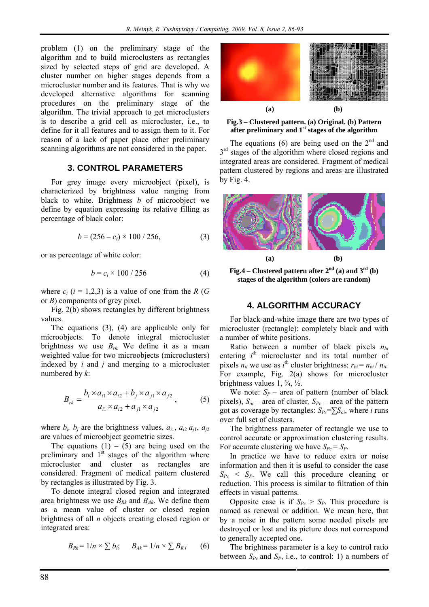problem (1) on the preliminary stage of the algorithm and to build microclusters as rectangles sized by selected steps of grid are developed. A cluster number on higher stages depends from a microcluster number and its features. That is why we developed alternative algorithms for scanning procedures on the preliminary stage of the algorithm. The trivial approach to get microclusters is to describe a grid cell as microcluster, i.e., to define for it all features and to assign them to it. For reason of a lack of paper place other preliminary scanning algorithms are not considered in the paper.

### **3. CONTROL PARAMETERS**

For grey image every microobject (pixel), is characterized by brightness value ranging from black to white. Brightness *b* of microobject we define by equation expressing its relative filling as percentage of black color:

$$
b = (256 - c_i) \times 100 / 256, \tag{3}
$$

or as percentage of white color:

$$
b = c_i \times 100 / 256
$$
 (4)

where  $c_i$  ( $i = 1,2,3$ ) is a value of one from the *R* (*G* or *B*) components of grey pixel.

Fig. 2(b) shows rectangles by different brightness values.

The equations (3), (4) are applicable only for microobjects. To denote integral microcluster brightness we use  $B_{rk}$ . We define it as a mean weighted value for two microobjects (microclusters) indexed by *i* and *j* and merging to a microcluster numbered by *k*:

$$
B_{rk} = \frac{b_i \times a_{i1} \times a_{i2} + b_j \times a_{j1} \times a_{j2}}{a_{i1} \times a_{i2} + a_{j1} \times a_{j2}},
$$
 (5)

where  $b_i$ ,  $b_j$  are the brightness values,  $a_{i1}$ ,  $a_{i2}$   $a_{i1}$ ,  $a_{i2}$ are values of microobject geometric sizes.

The equations  $(1) - (5)$  are being used on the preliminary and  $1<sup>st</sup>$  stages of the algorithm where microcluster and cluster as rectangles are considered. Fragment of medical pattern clustered by rectangles is illustrated by Fig. 3.

To denote integral closed region and integrated area brightness we use  $B_{Rk}$  and  $B_{Ak}$ . We define them as a mean value of cluster or closed region brightness of all *n* objects creating closed region or integrated area:

$$
B_{Rk} = 1/n \times \sum b_i; \qquad B_{Ak} = 1/n \times \sum B_{Ri} \qquad (6)
$$



**Fig.3 – Clustered pattern. (a) Original. (b) Pattern after preliminary and 1st stages of the algorithm** 

The equations (6) are being used on the  $2<sup>nd</sup>$  and 3<sup>rd</sup> stages of the algorithm where closed regions and integrated areas are considered. Fragment of medical pattern clustered by regions and areas are illustrated by Fig. 4.



**Fig.4** – Clustered pattern after  $2<sup>nd</sup>$  (a) and  $3<sup>rd</sup>$  (b) **stages of the algorithm (colors are random)** 

#### **4. ALGORITHM ACCURACY**

For black-and-white image there are two types of microcluster (rectangle): completely black and with a number of white positions.

Ratio between a number of black pixels  $n_{bi}$ entering  $i<sup>th</sup>$  microcluster and its total number of pixels  $n_{ti}$  we use as *i*<sup>th</sup> cluster brightness:  $r_{bi} = n_{bi} / n_{ti}$ . For example, Fig. 2(a) shows for microcluster brightness values  $1, \frac{3}{4}, \frac{1}{2}$ .

We note:  $S_P$  – area of pattern (number of black pixels),  $S_{oi}$  – area of cluster,  $S_{Pc}$  – area of the pattern got as coverage by rectangles:  $S_{Pc} = \sum S_{oi}$ , where *i* runs over full set of clusters.

The brightness parameter of rectangle we use to control accurate or approximation clustering results. For accurate clustering we have  $S_{Pc} = S_P$ .

In practice we have to reduce extra or noise information and then it is useful to consider the case  $S_{Pc} < S_{P}$ . We call this procedure cleaning or reduction. This process is similar to filtration of thin effects in visual patterns.

Opposite case is if  $S_{Pc} > S_P$ . This procedure is named as renewal or addition. We mean here, that by a noise in the pattern some needed pixels are destroyed or lost and its picture does not correspond to generally accepted one.

The brightness parameter is a key to control ratio between  $S_{Pc}$  and  $S_{Pc}$ , i.e., to control: 1) a numbers of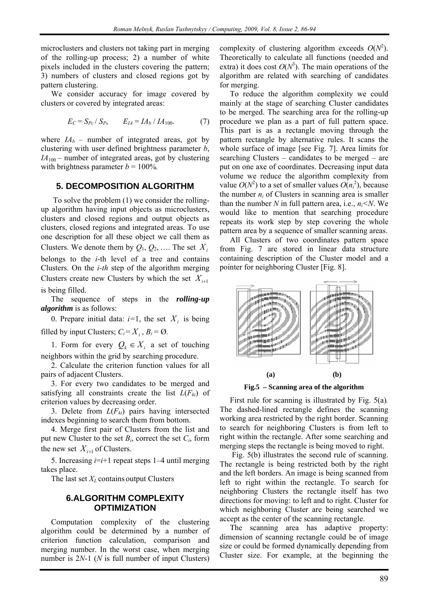microclusters and clusters not taking part in merging of the rolling-up process; 2) a number of white pixels included in the clusters covering the pattern; 3) numbers of clusters and closed regions got by pattern clustering.

We consider accuracy for image covered by clusters or covered by integrated areas:

$$
E_C = S_{Pc} / S_P, \qquad E_{IA} = IA_b / IA_{100}.
$$
 (7)

where  $IA_b$  – number of integrated areas, got by clustering with user defined brightness parameter *b*,  $IA<sub>100</sub>$  – number of integrated areas, got by clustering with brightness parameter  $b = 100\%$ .

## **5. DECOMPOSITION ALGORITHM**

 To solve the problem (1) we consider the rollingup algorithm having input objects as microclusters, clusters and closed regions and output objects as clusters, closed regions and integrated areas. To use one description for all these object we call them as Clusters. We denote them by  $Q_1, Q_2, \ldots$  The set  $X_i$ belongs to the *i*-th level of a tree and contains Clusters. On the *i-th* step of the algorithm merging Clusters create new Clusters by which the set  $X_{i+1}$ is being filled.

The sequence of steps in the *rolling-up algorithm* is as follows:

0. Prepare initial data:  $i=1$ , the set  $X_i$  is being filled by input Clusters;  $C_i = X_i$ ,  $B_i = \emptyset$ .

1. Form for every  $Q_k \in X_i$  a set of touching neighbors within the grid by searching procedure.

2. Calculate the criterion function values for all pairs of adjacent Clusters.

3. For every two candidates to be merged and satisfying all constraints create the list  $L(F_k)$  of criterion values by decreasing order.

3. Delete from  $L(F_{ki})$  pairs having intersected indexes beginning to search them from bottom.

4. Merge first pair of Clusters from the list and put new Cluster to the set *Bi*, correct the set *Ci*, form the new set  $X_{i+1}$  of Clusters.

5. Increasing *i*=*i*+1 repeat steps 1–4 until merging takes place.

The last set  $X_L$  contains output Clusters

## **6.ALGORITHM COMPLEXITY OPTIMIZATION**

Computation complexity of the clustering algorithm could be determined by a number of criterion function calculation, comparison and merging number. In the worst case, when merging number is 2*N*-1 (*N* is full number of input Clusters)

complexity of clustering algorithm exceeds  $O(N^2)$ . Theoretically to calculate all functions (needed and extra) it does cost  $O(N^3)$ . The main operations of the algorithm are related with searching of candidates for merging.

To reduce the algorithm complexity we could mainly at the stage of searching Cluster candidates to be merged. The searching area for the rolling-up procedure we plan as a part of full pattern space. This part is as a rectangle moving through the pattern rectangle by alternative rules. It scans the whole surface of image [see Fig. 7]. Area limits for searching Clusters – candidates to be merged – are put on one axe of coordinates. Decreasing input data volume we reduce the algorithm complexity from value  $O(N^2)$  to a set of smaller values  $O(n_i^2)$ , because the number  $n_i$  of Clusters in scanning area is smaller than the number  $N$  in full pattern area, i.e.,  $n_i < N$ . We would like to mention that searching procedure repeats its work step by step covering the whole pattern area by a sequence of smaller scanning areas.

All Clusters of two coordinates pattern space from Fig. 7 are stored in linear data structure containing description of the Cluster model and a pointer for neighboring Cluster [Fig. 8].



**Fig.5 – Scanning area of the algorithm** 

First rule for scanning is illustrated by Fig. 5(a)*.* The dashed-lined rectangle defines the scanning working area restricted by the right border. Scanning to search for neighboring Clusters is from left to right within the rectangle. After some searching and merging steps the rectangle is being moved to right.

 Fig. 5(b) illustrates the second rule of scanning. The rectangle is being restricted both by the right and the left borders. An image is being scanned from left to right within the rectangle. To search for neighboring Clusters the rectangle itself has two directions for moving: to left and to right. Cluster for which neighboring Cluster are being searched we accept as the center of the scanning rectangle.

The scanning area has adaptive property: dimension of scanning rectangle could be of image size or could be formed dynamically depending from Cluster size. For example, at the beginning the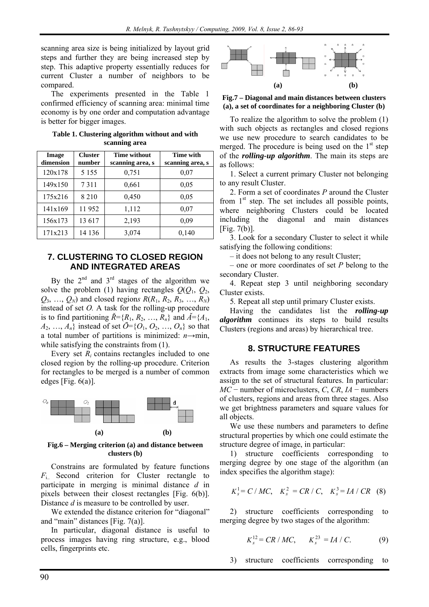scanning area size is being initialized by layout grid steps and further they are being increased step by step. This adaptive property essentially reduces for current Cluster a number of neighbors to be compared.

The experiments presented in the Table 1 confirmed efficiency of scanning area: minimal time economy is by one order and computation advantage is better for bigger images.

| Image<br>dimension | <b>Cluster</b><br>number | <b>Time without</b><br>scanning area, s | Time with<br>scanning area, s |
|--------------------|--------------------------|-----------------------------------------|-------------------------------|
| 120x178            | 5 1 5 5                  | 0,751                                   | 0,07                          |
| 149x150            | 7311                     | 0,661                                   | 0,05                          |
| 175x216            | 8 2 1 0                  | 0.450                                   | 0,05                          |
| 141x169            | 11952                    | 1,112                                   | 0,07                          |
| 156x173            | 13 617                   | 2,193                                   | 0,09                          |
| 171x213            | 14 136                   | 3,074                                   | 0,140                         |

**Table 1. Clustering algorithm without and with scanning area** 

# **7. CLUSTERING TO CLOSED REGION AND INTEGRATED AREAS**

By the  $2^{nd}$  and  $3^{rd}$  stages of the algorithm we solve the problem (1) having rectangles  $Q(Q_1, Q_2,$  $Q_3, \ldots, Q_N$  and closed regions  $R(R_1, R_2, R_3, \ldots, R_N)$ instead of set *O.* A task for the rolling-up procedure is to find partitioning  $\check{R} = \{R_1, R_2, \ldots, R_n\}$  and  $\check{A} = \{A_1, A_2, \ldots, A_n\}$  $A_2, ..., A_n$  instead of set  $\bar{O} = \{O_1, O_2, ..., O_n\}$  so that a total number of partitions is minimized:  $n \rightarrow min$ , while satisfying the constraints from  $(1)$ .

Every set *Ri* contains rectangles included to one closed region by the rolling-up procedure. Criterion for rectangles to be merged is a number of common edges [Fig.  $6(a)$ ].



**Fig.6 – Merging criterion (a) and distance between clusters (b)** 

Constrains are formulated by feature functions *F*i.. Second criterion for Cluster rectangle to participate in merging is minimal distance *d* in pixels between their closest rectangles [Fig. 6(b)]. Distance *d* is measure to be controlled by user.

We extended the distance criterion for "diagonal" and "main" distances [Fig. 7(a)].

In particular, diagonal distance is useful to process images having ring structure, e.g., blood cells, fingerprints etc.



**Fig.7 – Diagonal and main distances between clusters (a), a set of coordinates for a neighboring Cluster (b)** 

To realize the algorithm to solve the problem (1) with such objects as rectangles and closed regions we use new procedure to search candidates to be merged. The procedure is being used on the  $1<sup>st</sup>$  step of the *rolling-up algorithm*. The main its steps are as follows:

1. Select a current primary Cluster not belonging to any result Cluster.

2. Form a set of coordinates *P* around the Cluster from  $1<sup>st</sup>$  step. The set includes all possible points, where neighboring Clusters could be located including the diagonal and main distances [Fig. 7(b)].

3. Look for a secondary Cluster to select it while satisfying the following conditions:

– it does not belong to any result Cluster;

– one or more coordinates of set *P* belong to the secondary Cluster.

4. Repeat step 3 until neighboring secondary Cluster exists.

5*.* Repeat all step until primary Cluster exists.

Having the candidates list the *rolling-up algorithm* continues its steps to build results Clusters (regions and areas) by hierarchical tree.

#### **8. STRUCTURE FEATURES**

As results the 3-stages clustering algorithm extracts from image some characteristics which we assign to the set of structural features. In particular: *MC* − number of microclusters, *C*, *CR*, *IA* − numbers of clusters, regions and areas from three stages. Also we get brightness parameters and square values for all objects.

We use these numbers and parameters to define structural properties by which one could estimate the structure degree of image, in particular:

1) structure coefficients corresponding to merging degree by one stage of the algorithm (an index specifies the algorithm stage):

$$
K_s^1 = C/MC
$$
,  $K_s^2 = CR/C$ ,  $K_s^3 = IA/CR$  (8)

2) structure coefficients corresponding to merging degree by two stages of the algorithm:

$$
K_s^{12} = CR / MC, \qquad K_s^{23} = IA / C. \tag{9}
$$

3) structure coefficients corresponding to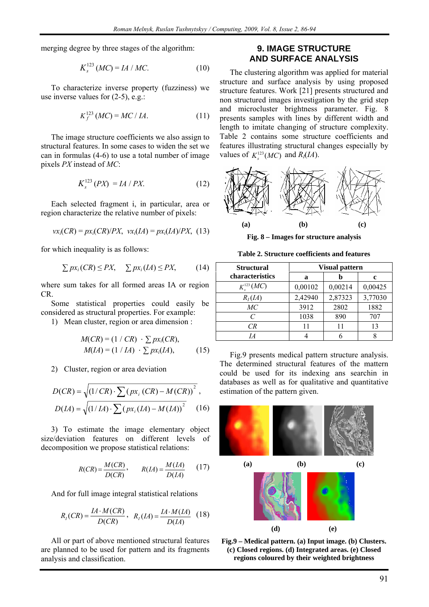merging degree by three stages of the algorithm:

$$
K_s^{123} (MC) = IA / MC.
$$
 (10)

To characterize inverse property (fuzziness) we use inverse values for  $(2-5)$ , e.g.:

$$
K_f^{123} (MC) = MC / IA.
$$
 (11)

The image structure coefficients we also assign to structural features. In some cases to widen the set we can in formulas (4-6) to use a total number of image pixels *PX* instead of *MC*:

$$
K_s^{123}(PX) = IA / PX.
$$
 (12)

Each selected fragment i, in particular, area or region characterize the relative number of pixels:

$$
vxi(CR) = pxi(CR)/PX, vxi(IA) = pxi(IA)/PX, (13)
$$

for which inequality is as follows:

$$
\sum px_i(CR) \leq PX, \quad \sum px_i(LA) \leq PX,
$$
 (14)

where sum takes for all formed areas IA or region CR.

Some statistical properties could easily be considered as structural properties. For example:

1) Mean cluster, region or area dimension :

$$
M(CR) = (1 / CR) \cdot \sum px_i(CR),
$$
  
 
$$
M(IA) = (1 / IA) \cdot \sum px_i(IA),
$$
 (15)

2) Cluster, region or area deviation

$$
D(CR) = \sqrt{(1/CR) \cdot \sum (px_i (CR) - M(CR))^{2}}
$$
  

$$
D(IA) = \sqrt{(1/IA) \cdot \sum (px_i (IA) - M(IA))^{2}}
$$
(16)

3) To estimate the image elementary object size/deviation features on different levels of decomposition we propose statistical relations:

$$
R(CR) = \frac{M(CR)}{D(CR)}, \qquad R(IA) = \frac{M(IA)}{D(IA)} \qquad (17)
$$

And for full image integral statistical relations

$$
R_I(CR) = \frac{IA \cdot M(CR)}{D(CR)}, \quad R_I(LA) = \frac{IA \cdot M(LA)}{D(LA)} \quad (18)
$$

All or part of above mentioned structural features are planned to be used for pattern and its fragments analysis and classification.

## **9. IMAGE STRUCTURE AND SURFACE ANALYSIS**

The clustering algorithm was applied for material structure and surface analysis by using proposed structure features. Work [21] presents structured and non structured images investigation by the grid step and microcluster brightness parameter. Fig. 8 presents samples with lines by different width and length to imitate changing of structure complexity. Table 2 contains some structure coefficients and features illustrating structural changes especially by values of  $K^{123}(MC)$  and  $R_1(IA)$ .



**Fig. 8 – Images for structure analysis** 

| <b>Structural</b>           | <b>Visual pattern</b> |         |         |
|-----------------------------|-----------------------|---------|---------|
| characteristics             | a                     | b       | c       |
| $K_{s}^{123} (MC)$          | 0,00102               | 0,00214 | 0,00425 |
| $R_I(IA)$                   | 2,42940               | 2,87323 | 3,77030 |
| MC                          | 3912                  | 2802    | 1882    |
| $\mathcal{C}_{\mathcal{C}}$ | 1038                  | 890     | 707     |
| CR                          | 11                    | 11      | 13      |
| IA                          |                       |         |         |

**Table 2. Structure coefficients and features** 

Fig.9 presents medical pattern structure analysis. The determined structural features of the mattern could be used for its indexing ans searchin in databases as well as for qualitative and quantitative estimation of the pattern given.



**Fig.9 – Medical pattern. (a) Input image. (b) Clusters. (c) Closed regions. (d) Integrated areas. (e) Closed regions coloured by their weighted brightness**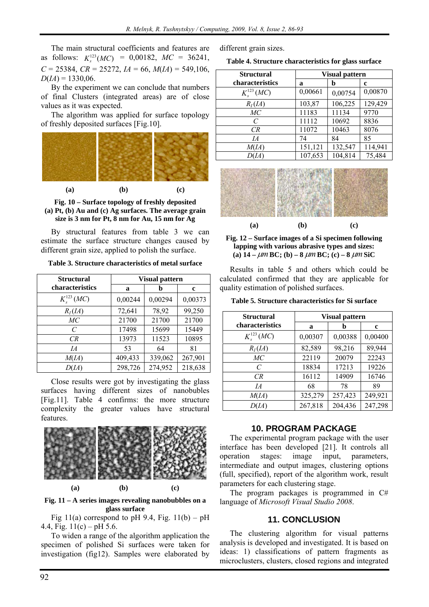The main structural coefficients and features are as follows:  $K_s^{123}(MC) = 0,00182, MC = 36241,$  $C = 25384$ ,  $CR = 25272$ ,  $IA = 66$ ,  $M(IA) = 549,106$ ,  $D(IA) = 1330,06.$ 

By the experiment we can conclude that numbers of final Clusters (integrated areas) are of close values as it was expected.

The algorithm was applied for surface topology of freshly deposited surfaces [Fig.10].



**Fig. 10 – Surface topology of freshly deposited (a) Pt, (b) Au and (c) Ag surfaces. The average grain size is 3 nm for Pt, 8 nm for Au, 15 nm for Ag** 

By structural features from table 3 we can estimate the surface structure changes caused by different grain size, applied to polish the surface.

**Table 3. Structure characteristics of metal surface** 

| <b>Structural</b>           | <b>Visual pattern</b> |         |         |
|-----------------------------|-----------------------|---------|---------|
| characteristics             | a                     | h       | c       |
| $K_{s}^{123} (MC)$          | 0,00244               | 0,00294 | 0,00373 |
| $R_I(IA)$                   | 72,641                | 78,92   | 99,250  |
| МC                          | 21700                 | 21700   | 21700   |
| $\mathcal{C}_{\mathcal{C}}$ | 17498                 | 15699   | 15449   |
| CR                          | 13973                 | 11523   | 10895   |
| IA                          | 53                    | 64      | 81      |
| M(IA)                       | 409,433               | 339,062 | 267,901 |
| D(IA)                       | 298,726               | 274,952 | 218,638 |

Close results were got by investigating the glass surfaces having different sizes of nanobubles [Fig.11]. Table 4 confirms: the more structure complexity the greater values have structural features.



**Fig. 11 – A series images revealing nanobubbles on a glass surface** 

Fig 11(a) correspond to pH 9.4, Fig.  $11(b) - pH$ 4.4, Fig.  $11(c) - pH 5.6$ .

To widen a range of the algorithm application the specimen of polished Si surfaces were taken for investigation (fig12). Samples were elaborated by

different grain sizes.

**Table 4. Structure characteristics for glass surface** 

| <b>Structural</b>  | <b>Visual pattern</b> |         |         |
|--------------------|-----------------------|---------|---------|
| characteristics    | a                     | b       | c       |
| $K_{.}^{123}$ (MC) | 0,00661               | 0,00754 | 0,00870 |
| $R_I(IA)$          | 103,87                | 106,225 | 129,429 |
| MC                 | 11183                 | 11134   | 9770    |
| $\mathcal{C}$      | 11112                 | 10692   | 8836    |
| CR                 | 11072                 | 10463   | 8076    |
| IA                 | 74                    | 84      | 85      |
| M(A)               | 151,121               | 132,547 | 114,941 |
| D(IA)              | 107,653               | 104,814 | 75,484  |
|                    |                       |         |         |





Results in table 5 and others which could be calculated confirmed that they are applicable for quality estimation of polished surfaces.

**Table 5. Structure characteristics for Si surface** 

| <b>Structural</b>           | <b>Visual pattern</b> |         |         |
|-----------------------------|-----------------------|---------|---------|
| characteristics             | a                     | b       | c       |
| $K_{s}^{123} (MC)$          | 0,00307               | 0,00388 | 0,00400 |
| $R_I(IA)$                   | 82,589                | 98,216  | 89,944  |
| MC                          | 22119                 | 20079   | 22243   |
| $\mathcal{C}_{\mathcal{C}}$ | 18834                 | 17213   | 19226   |
| CR                          | 16112                 | 14909   | 16746   |
| IA                          | 68                    | 78      | 89      |
| M(A)                        | 325,279               | 257,423 | 249,921 |
| D(IA)                       | 267,818               | 204,436 | 247,298 |

## **10. PROGRAM PACKAGE**

The experimental program package with the user interface has been developed [21]. It controls all operation stages: image input, parameters, intermediate and output images, clustering options (full, specified), report of the algorithm work, result parameters for each clustering stage.

The program packages is programmed in  $C#$ language of *Microsoft Visual Studio 2008*.

### **11. CONCLUSION**

The clustering algorithm for visual patterns analysis is developed and investigated. It is based on ideas: 1) classifications of pattern fragments as microclusters, clusters, closed regions and integrated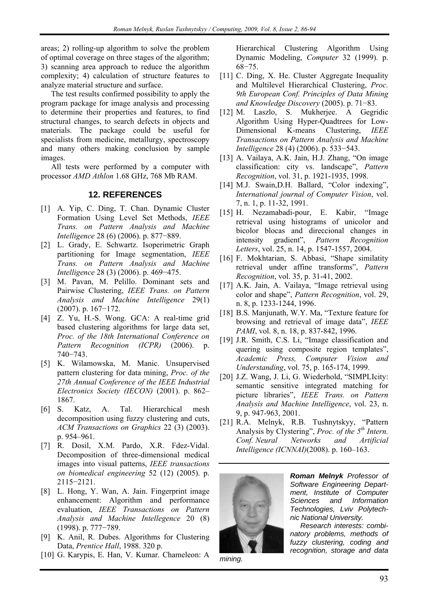areas; 2) rolling-up algorithm to solve the problem of optimal coverage on three stages of the algorithm; 3) scanning area approach to reduce the algorithm complexity; 4) calculation of structure features to analyze material structure and surface.

The test results confirmed possibility to apply the program package for image analysis and processing to determine their properties and features, to find structural changes, to search defects in objects and materials. The package could be useful for specialists from medicine, metallurgy, spectroscopy and many others making conclusion by sample images.

All tests were performed by a computer with processor *AMD Athlon* 1.68 GHz, 768 Mb RAM.

# **12. REFERENCES**

- [1] A. Yip, C. Ding, T. Chan. Dynamic Cluster Formation Using Level Set Methods, *IEEE Trans. on Pattern Analysis and Machine Intelligence* 28 (6) (2006). p. 877−889.
- [2] L. Grady, E. Schwartz. Isoperimetric Graph partitioning for Image segmentation, *IEEE Trans. on Pattern Analysis and Machine Intelligence* 28 (3) (2006). p. 469–475.
- [3] M. Pavan, M. Pelillo. Dominant sets and Pairwise Clustering, *IEEE Trans. on Pattern Analysis and Machine Intelligence* 29(1) (2007). p. 167−172.
- [4] Z. Yu, H.-S. Wong. GCA: A real-time grid based clustering algorithms for large data set, *Proc. of the 18th International Conference on Pattern Recognition (ICPR)* (2006). p. 740−743.
- [5] K. Wilamowska, M. Manic. Unsupervised pattern clustering for data mining, *Proc. of the 27th Annual Conference of the IEEE Industrial Electronics Society (IECON)* (2001). p. 862– 1867.
- [6] S. Katz, A. Tal. Hierarchical mesh decomposition using fuzzy clustering and cuts, *ACM Transactions on Graphics* 22 (3) (2003). p. 954–961.
- [7] R. Dosil, X.M. Pardo, X.R. Fdez-Vidal. Decomposition of three-dimensional medical images into visual patterns, *IEEE transactions on biomedical engineering* 52 (12) (2005). p. 2115−2121.
- [8] L. Hong, Y. Wan, A. Jain. Fingerprint image enhancement: Algorithm and performance evaluation, *IEEE Transactions on Pattern Analysis and Machine Intellegence* 20 (8) (1998). p. 777−789.
- [9] K. Anil, R. Dubes. Algorithms for Clustering Data, *Prentice Hall*, 1988. 320 p.
- [10] G. Karypis, E. Han, V. Kumar. Chameleon: A

Hierarchical Clustering Algorithm Using Dynamic Modeling, *Computer* 32 (1999). p. 68−75.

- [11] C. Ding, X. He. Cluster Aggregate Inequality and Multilevel Hierarchical Clustering, *Proc. 9th European Conf. Principles of Data Mining and Knowledge Discovery* (2005). p. 71−83.
- [12] M. Laszlo, S. Mukherjee. A Gegridic Algorithm Using Hyper-Quadtrees for Low-Dimensional K-means Clustering, *IEEE Transactions on Pattern Analysis and Machine Intelligence* 28 (4) (2006). p. 533−543.
- [13] A. Vailaya, A.K. Jain, H.J. Zhang, "On image classification: city vs. landscape", *Pattern Recognition*, vol. 31, p. 1921-1935, 1998.
- [14] M.J. Swain, D.H. Ballard, "Color indexing", *International journal of Computer Vision*, vol. 7, n. 1, p. 11-32, 1991.
- [15] H. Nezamabadi-pour, E. Kabir, "Image retrieval using histograms of unicolor and bicolor blocas and direccional changes in intensity gradient", *Pattern Recognition Letters*, vol. 25, n. 14, p. 1547-1557, 2004.
- [16] F. Mokhtarian, S. Abbasi, "Shape similatity retrieval under affine transforms", *Pattern Recognition*, vol. 35, p. 31-41, 2002.
- [17] A.K. Jain, A. Vailaya, "Image retrieval using color and shape", *Pattern Recognition*, vol. 29, n. 8, p. 1233-1244, 1996.
- [18] B.S. Manjunath, W.Y. Ma, "Texture feature for browsing and retrieval of image data", *IEEE PAMI*, vol. 8, n. 18, p. 837-842, 1996.
- [19] J.R. Smith, C.S. Li, "Image classification and quering using composite region templates", *Academic Press, Computer Vision and Understanding*, vol. 75, p. 165-174, 1999.
- [20] J.Z. Wang, J. Li, G. Wiederhold, "SIMPLIcity: semantic sensitive integrated matching for picture libraries", *IEEE Trans. on Pattern Analysis and Machine Intelligence*, vol. 23, n. 9, p. 947-963, 2001.
- [21] R.A. Melnyk, R.B. Tushnytskyy, "Pattern Analysis by Clystering", *Proc. of the 5th Intern. Conf. Neural Networks and Artificial Intelligence (ICNNAI)*(2008). p. 160–163.



*mining.* 

*Roman Melnyk Professor of Software Engineering Department, Institute of Computer Sciences and Information Technologies, Lviv Polytechnic National University.* 

*Research interests: combinatory problems, methods of fuzzy clustering, coding and recognition, storage and data*